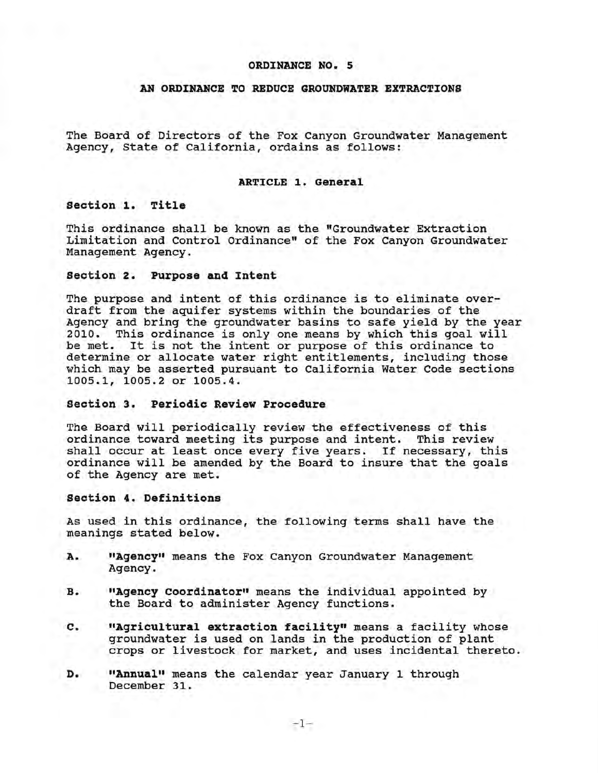### **ORDINANCE NO. 5**

# **AN ORDINANCE TO REDUCE GROUNDWATER EXTRACTIONS**

The Board of Directors of the Fox Canyon Groundwater Management Agency, State of California, ordains as follows:

### **ARTICLE 1. General**

**Section 1. Title** 

This ordinance shall be known as the "Groundwater Extraction Limitation and Control Ordinance" of the Fox Canyon Groundwater Management Agency.

# **Section 2. Purpose and Intent**

The purpose and intent of this ordinance is to eliminate overdraft from the aquifer systems within the boundaries of the Agency and bring the groundwater basins to safe yield by the year 2010. This ordinance is only one means by which this goal will be met. It is not the intent or purpose of this ordinance to determine or allocate water right entitlements, including those which may be asserted pursuant to California Water Code sections 1005.1, 1005.2 or 1005.4.

## **Section 3. Periodic Review Procedure**

The Board will periodically review the effectiveness of this ordinance toward meeting its purpose and intent. This review shall occur at least once every five years. If necessary, this ordinance will be amended by the Board to insure that the goals of the Agency are met.

#### **section 4. Definitions**

As used in this ordinance, the following terms shall have the meanings stated below.

- **A. 11Agency11** means the Fox Canyon Groundwater Management Agency.
- **B. "Agency Coordinator"** means the individual appointed by the Board to administer Agency functions.
- **c. "Agricultural extraction facility"** means a facility whose groundwater is used on lands in the production of plant crops or livestock for market, and uses incidental thereto.
- **D. "Annual"** means the calendar year January 1 through December 31.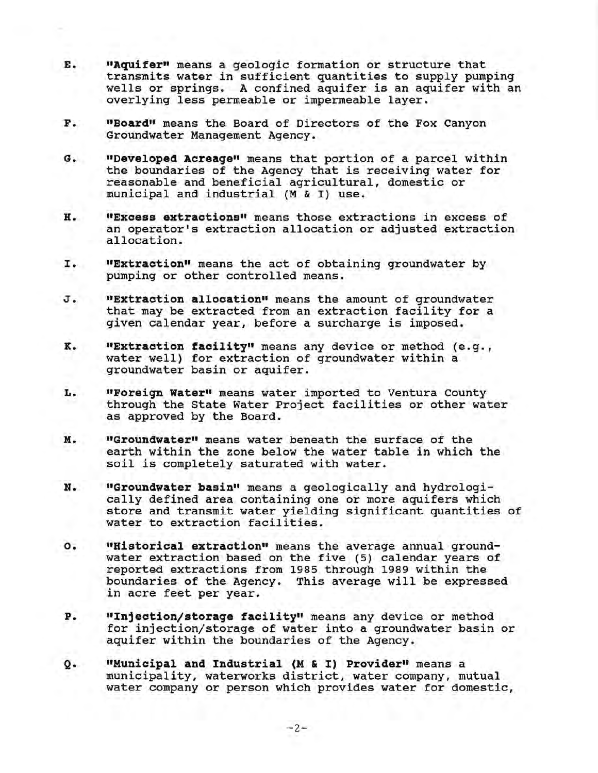- **E. 11Aquifer11** means a geologic formation or structure that transmits water in sufficient quantities to supply pumping wells or springs. A confined aquifer is an aquifer with an overlying less permeable or impermeable layer.
- **F. 11Board11** means the Board of Directors of the Fox Canyon Groundwater Management Agency.
- **G. "Developed Acreaqe11** means that portion of a parcel within the boundaries of the Agency that is receiving water for reasonable and beneficial agricultural, domestic or municipal and industrial (M & I) use.
- **H. 11Excess extractions"** means those extractions in excess of an operator's extraction allocation or adjusted extraction allocation.
- I. **11Extraction11** means the act of obtaining groundwater by pumping or other controlled means.
- **J. "Extraction allocation"** means the amount of groundwater that may be extracted from an extraction facility for a given calendar year, before a surcharge is imposed.
- **K. "Extraction facility"** means any device or method (e.g., water well) for extraction of groundwater within a groundwater basin or aquifer.
- L. **"Foreign Water"** means water imported to Ventura County through the State Water Project facilities or other water as approved by the Board.
- **M. 11Groundwater11** means water beneath the surface of the earth within the zone below the water table in which the soil is completely saturated with water.
- **N. "Groundwater basin"** means a geologically and hydrologically defined area containing one or more aquifers which store and transmit water yielding significant quantities of water to extraction facilities.
- **o. "Historical extraction"** means the average annual groundwater extraction based on the five (5) calendar years of reported extractions from 1985 through 1989 within the boundaries of the Agency. This average will be expressed in acre feet per year.
- P. "Injection/storage facility" means any device or method for injection/storage of water into a groundwater basin or aquifer within the boundaries of the Agency.
- **Q. "Municipal and Industrial (M** & I) **Provider"** means a municipality, waterworks district, water company, mutual water company or person which provides water for domestic,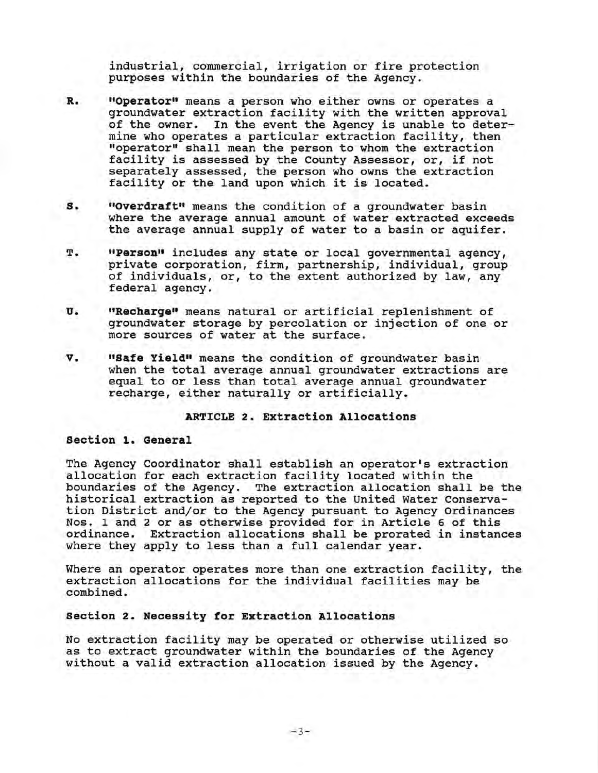industrial, commercial, irrigation or fire protection purposes within the boundaries of the Agency.

- **R. "Operator"** means a person who either owns or operates a groundwater extraction facility with the written approval<br>of the owner. In the event the Agency is unable to deter-In the event the Agency is unable to determine who operates a particular extraction facility, then "operator" shall mean the person to whom the extraction facility is assessed by the County Assessor, or, if not separately assessed, the person who owns the extraction facility or the land upon which it is located.
- **s. "Overdraft"** means the condition of a groundwater basin where the average annual amount of water extracted exceeds the average annual supply of water to a basin or aquifer.
- T. **"Person"** includes any state or local governmental agency, private corporation, firm, partnership, individual, group of individuals, or, to the extent authorized by law, any federal agency.
- **U. "Recharge"** means natural or artificial replenishment of groundwater storage by percolation or injection of one or more sources of water at the surface.
- **v. 11Safe Yield11** means the condition of groundwater basin when the total average annual groundwater extractions are equal to or less than total average annual groundwater recharge, either naturally or artificially.

# **ARTICLE 2. Extraction Allocations**

### **section 1. General**

The Agency Coordinator shall establish an operator's extraction allocation for each extraction facility located within the boundaries of the Agency. The extraction allocation shall be the historical extraction as reported to the United Water Conservation District and/or to the Agency pursuant to Agency Ordinances Nos. 1 and 2 or as otherwise provided for in Article 6 of this ordinance. Extraction allocations shall be prorated in instances where they apply to less than a full calendar year.

Where an operator operates more than one extraction facility, the extraction allocations for the individual facilities may be combined.

# **section 2. Necessity for Extraction Allocations**

No extraction facility may be operated or otherwise utilized so as to extract groundwater within the boundaries of the Agency without a valid extraction allocation issued by the Agency.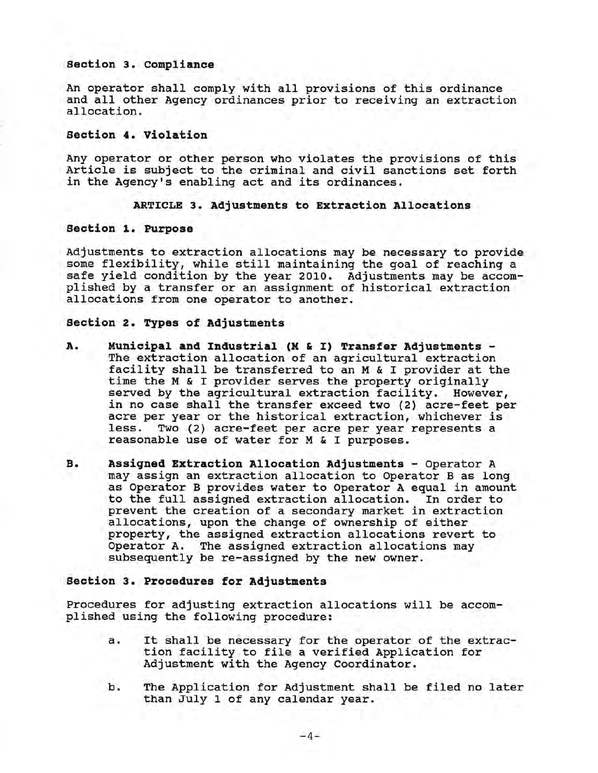### **Section 3. compliance**

An operator shall comply with all provisions of this ordinance and all other Agency ordinances prior to receiving an extraction allocation.

# **Section 4. Violation**

Any operator or other person who violates the provisions of this Article is subject to the criminal and civil sanctions set forth in the Agency's enabling act and its ordinances.

### **ARTICLE 3. Adjustments to Extraction Allocations**

### **section 1. Purpose**

Adjustments to extraction allocations may be necessary to provide some flexibility, while still maintaining the goal of reaching a safe yield condition by the year 2010. Adjustments may be accomplished by a transfer or an assignment of historical extraction allocations from one operator to another.

## **section 2. Types of Adjustments**

- **A. Municipal and Industrial (M** & I) **Transfer Adjustments**  The extraction allocation of an agricultural extraction facility shall be transferred to an M & I provider at the time the M & I provider serves the property originally served by the agricultural extraction facility. However, in no case shall the transfer exceed two (2) acre-feet per acre per year or the historical extraction, whichever is<br>less. Two (2) acre-feet per acre per year represents a Two (2) acre-feet per acre per year represents a reasonable use of water for M & I purposes.
- **B. Assigned Extraction Allocation Adjustments**  Operator A may assign an extraction allocation to Operator B as long as Operator B provides water to Operator A equal in amount to the full assigned extraction allocation. In order to prevent the creation of a secondary market in extraction allocations, upon the change of ownership of either property, the assigned extraction allocations revert to Operator A. The assigned extraction allocations may subsequently be re-assigned by the new owner.

# **Section 3. Procedures for Adjustments**

Procedures for adjusting extraction allocations will be accomplished using the following procedure:

- a. It shall be necessary for the operator of the extraction facility to file a verified Application for Adjustment with the Agency Coordinator.
- b. The Application for Adjustment shall be filed no later than July 1 of any calendar year.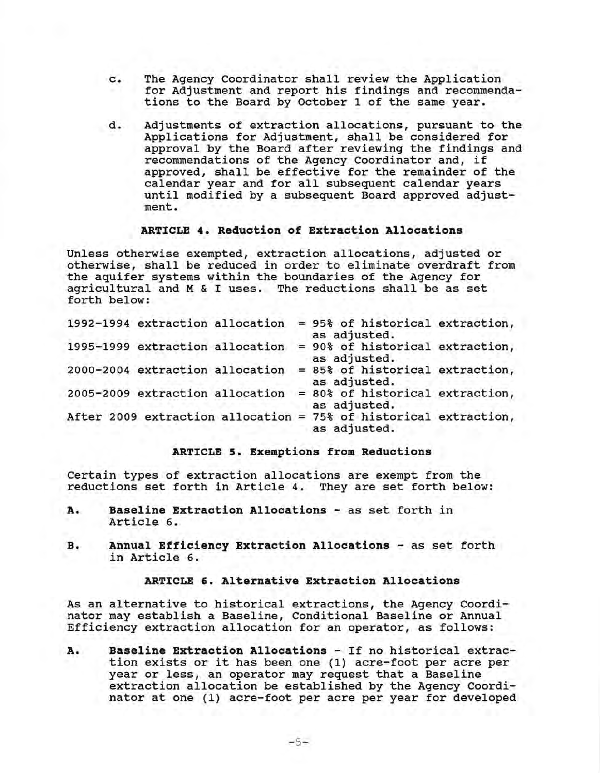- c. The Agency Coordinator shall review the Application for Adjustment and report his findings and recommendations to the Board by October 1 of the same year.
- d. Adjustments of extraction allocations, pursuant to the Applications for Adjustment, shall be considered for approval by the Board after reviewing the findings and recommendations of the Agency Coordinator and, if approved, shall be effective for the remainder of the calendar year and for all subsequent calendar years until modified by a subsequent Board approved adjustment.

# **ARTICLE 4. Reduction of Extraction Allocations**

Unless otherwise exempted, extraction allocations, adjusted or otherwise, shall be reduced in order to eliminate overdraft from the aquifer systems within the boundaries of the Agency for agricultural and M & I uses. The reductions shall be as set forth below:

| 1992-1994 extraction allocation |  | = 95% of historical extraction,<br>as adjusted.                                  |  |
|---------------------------------|--|----------------------------------------------------------------------------------|--|
| 1995-1999 extraction allocation |  | = 90% of historical extraction,<br>as adjusted.                                  |  |
| 2000-2004 extraction allocation |  | = 85% of historical extraction,<br>as adjusted.                                  |  |
| 2005-2009 extraction allocation |  | = 80% of historical extraction,<br>as adjusted.                                  |  |
|                                 |  | After 2009 extraction allocation = 75% of historical extraction,<br>as adjusted. |  |
|                                 |  |                                                                                  |  |

## **ARTICLE 5. Exemptions from Reductions**

Certain types of extraction allocations are exempt from the reductions set forth in Article 4. They are set forth below:

- **A. Baseline Extraction Allocations**  as set forth in Article 6.
- **B. Annual Efficiency Extraction Allocations**  as set forth in Article 6.

# **ARTICLE 6. Alternative Extraction Allocations**

As an alternative to historical extractions, the Agency Coordinator may establish a Baseline, Conditional Baseline or Annual Efficiency extraction allocation for an operator, as follows:

**A. Baseline Extraction Allocations** - If no historical extraction exists or it has been one (1) acre-foot per acre per year or less, an operator may request that a Baseline extraction allocation be established by the Agency Coordinator at one (1) acre-foot per acre per year for developed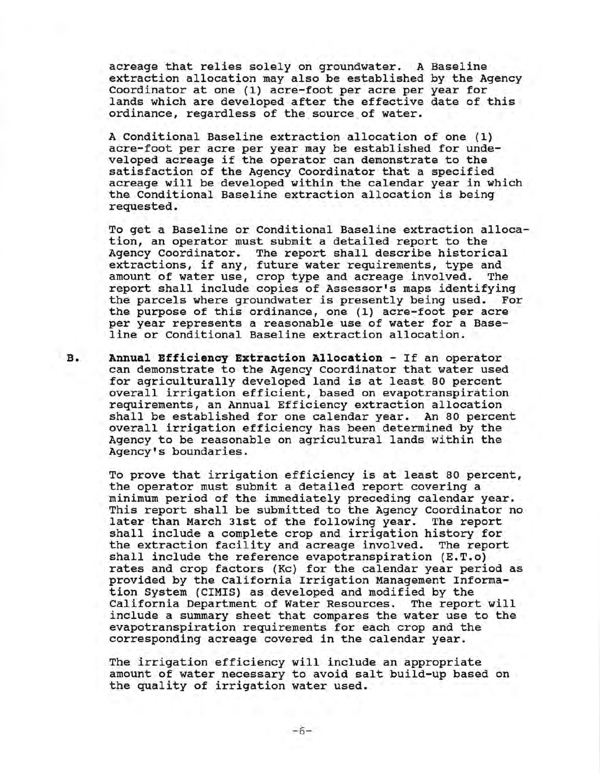acreage that relies solely on groundwater. A Baseline extraction allocation may also be established by the Agency Coordinator at one (1) acre-foot per acre per year for lands which are developed after the effective date of this ordinance, regardless of the source of water.

A Conditional Baseline extraction allocation of one (1) acre-foot per acre per year may be established for undeveloped acreage if the operator can demonstrate to the satisfaction of the Agency Coordinator that a specified acreage will be developed within the calendar year in which the Conditional Baseline extraction allocation is being requested.

To get a Baseline or Conditional Baseline extraction allocation, an operator must submit a detailed report to the Agency Coordinator. The report shall describe historical extractions, if any, future water requirements, type and<br>amount of water use, crop type and acreage involved. The amount of water use, crop type and acreage involved. report shall include copies of Assessor's maps identifying the parcels where groundwater is presently being used. the purpose of this ordinance, one (1) acre-foot per acre per year represents a reasonable use of water for a Baseline or Conditional Baseline extraction allocation.

**B. Annual Efficiency Extraction Allocation** - If an operator can demonstrate to the Agency Coordinator that water used for agriculturally developed land is at least 80 percent overall irrigation efficient, based on evapotranspiration requirements, an Annual Efficiency extraction allocation shall be established for one calendar year. An 80 percent overall irrigation efficiency has been determined by the Agency to be reasonable on agricultural lands within the Agency's boundaries.

> To prove that irrigation efficiency is at least 80 percent, the operator must submit a detailed report covering a minimum period of the immediately preceding calendar year. This report shall be submitted to the Agency Coordinator no later than March 31st of the following year. The report shall include a complete crop and irrigation history for the extraction facility and acreage involved. The report shall include the reference evapotranspiration (E.T.o) rates and crop factors (Kc) for the calendar year period as provided by the California Irrigation Management Information System (CIMIS) as developed and modified by the California Department of Water Resources. The report will include a summary sheet that compares the water use to the evapotranspiration requirements for each crop and the corresponding acreage covered in the calendar year.

The irrigation efficiency will include an appropriate amount of water necessary to avoid salt build-up based on the quality of irrigation water used.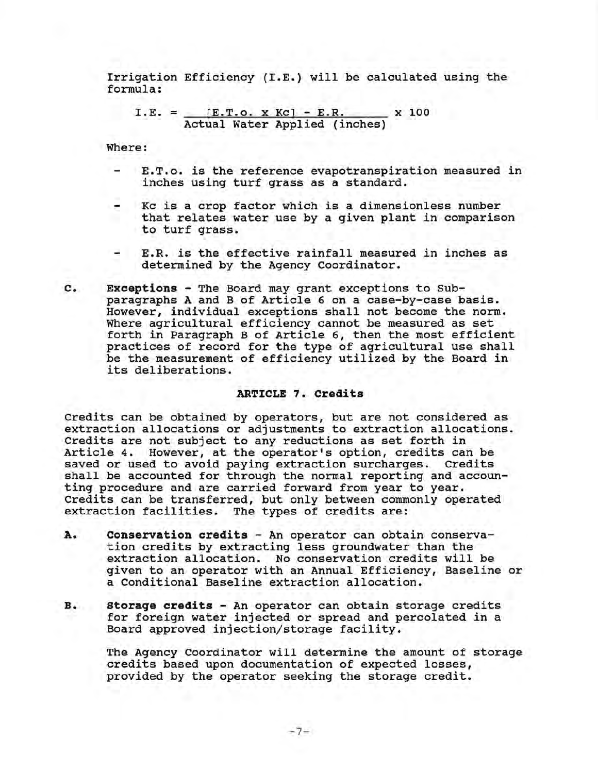Irrigation Efficiency (I.E.) will be calculated using the formula:

I.E. = 
$$
\frac{[E.T.o. x Kc] - E.R.}{\text{Actual Water Applied (inches)}} \times 100
$$

Where:

- E.T.o. is the reference evapotranspiration measured in inches using turf grass as a standard.
- Kc is a crop factor which is a dimensionless number that relates water use by a given plant in comparison to turf grass.
- E.R. is the effective rainfall measured in inches as determined by the Agency Coordinator.
- **c. Exceptions**  The Board may grant exceptions to Subparagraphs A and B of Article 6 on a case-by-case basis. However, individual exceptions shall not become the norm. Where agricultural efficiency cannot be measured as set forth in Paragraph B of Article 6, then the most efficient practices of record for the type of agricultural use shall be the measurement of efficiency utilized by the Board in its deliberations.

# **ARTICLE 7. Credits**

Credits can be obtained by operators, but are not considered as extraction allocations or adjustments to extraction allocations. Credits are not subject to any reductions as set forth in Article 4. However, at the operator's option, credits can be saved or used to avoid paying extraction surcharges. Credits shall be accounted for through the normal reporting and accounting procedure and are carried forward from year to year. Credits can be transferred, but only between commonly operated extraction facilities. The types of credits are:

- **A. Conservation credits**  An operator can obtain conservation credits by extracting less groundwater than the extraction allocation. No conservation credits will be given to an operator with an Annual Efficiency, Baseline or a Conditional Baseline extraction allocation.
- **B. Storage credits**  An operator can obtain storage credits for foreign water injected or spread and percolated in a Board approved injection/storage facility.

The Agency Coordinator will determine the amount of storage credits based upon documentation of expected losses, provided by the operator seeking the storage credit.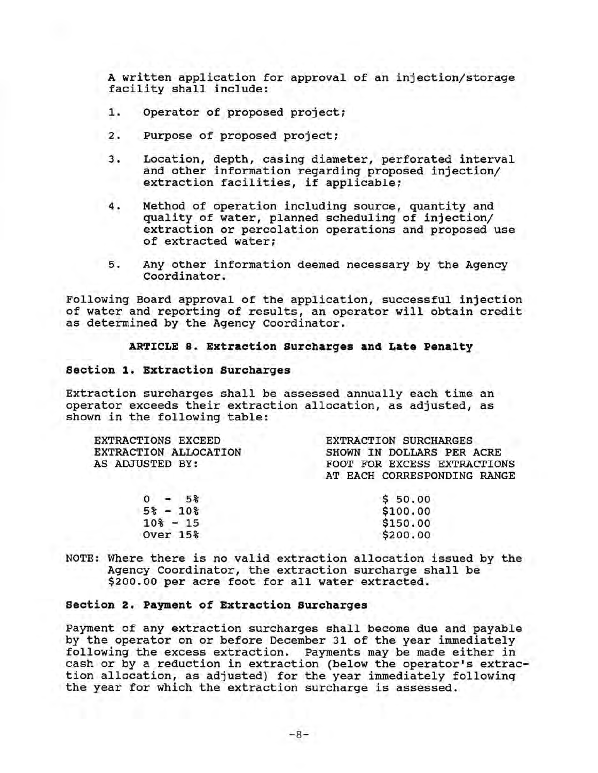A written application for approval of an injection/storage facility shall include:

- 1. Operator of proposed project;
- 2. Purpose of proposed project;
- 3. Location, depth, casing diameter, perforated interval and other information regarding proposed injection/ extraction facilities, if applicable;
- 4. Method of operation including source, quantity and quality of water, planned scheduling of injection/ extraction or percolation operations and proposed use of extracted water;
- 5. Any other information deemed necessary by the Agency Coordinator.

Following Board approval of the application, successful injection of water and reporting of results, an operator will obtain credit as determined by the Agency Coordinator.

## **ARTICLE s. Extraction surcharges and Late Penalty**

### **section 1. Extraction surcharges**

Extraction surcharges shall be assessed annually each time an operator exceeds their extraction allocation, as adjusted, as shown in the following table:

| <b>EXTRACTIONS EXCEED</b> | <b>EXTRACTION SURCHARGES</b> |
|---------------------------|------------------------------|
| EXTRACTION ALLOCATION     | SHOWN IN DOLLARS PER ACRE    |
| AS ADJUSTED BY:           | FOOT FOR EXCESS EXTRACTIONS  |
|                           | AT EACH CORRESPONDING RANGE  |
| $-5%$                     | \$50.00                      |
| $5\% - 10\%$              | \$100.00                     |
| $10* - 15$                | \$150.00                     |
| <b>Over 15%</b>           | \$200.00                     |
|                           |                              |

NOTE: Where there is no valid extraction allocation issued by the Agency Coordinator, the extraction surcharge shall be \$200.00 per acre foot for all water extracted.

## **section 2. Payment of Extraction surcharges**

Payment of any extraction surcharges shall become due and payable by the operator on or before December 31 of the year immediately following the excess extraction. Payments may be made either in cash or by a reduction in extraction (below the operator's extraction allocation, as adjusted) for the year immediately following the year for which the extraction surcharge is assessed.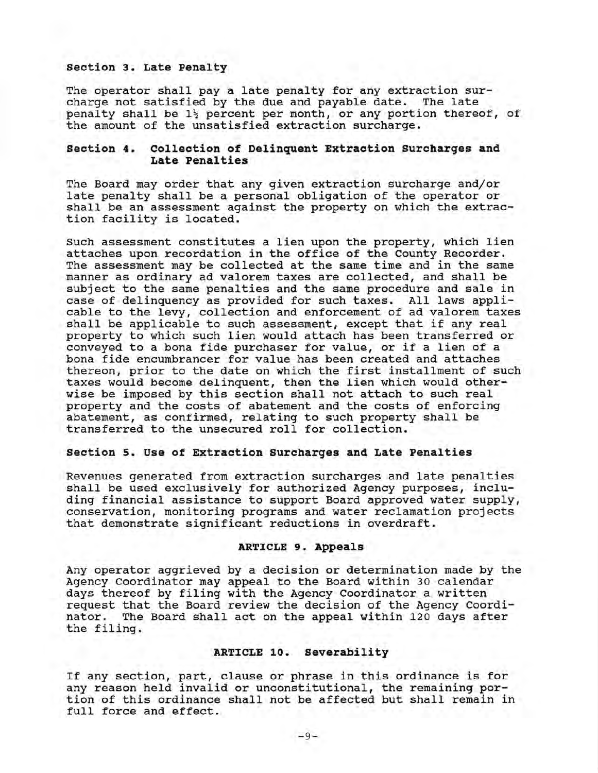# **Section 3. Late Penalty**

The operator shall pay a late penalty for any extraction surcharge not satisfied by the due and payable date. The late penalty shall be  $1\frac{1}{2}$  percent per month, or any portion thereof, of the amount of the unsatisfied extraction surcharge.

### **Section 4. Collection of Delinquent Extraction surcharges and Late Penalties**

The Board may order that any given extraction surcharge and/or late penalty shall be a personal obligation of the operator or shall be an assessment against the property on which the extraction facility is located.

Such assessment constitutes a lien upon the property, which lien attaches upon recordation in the office of the County Recorder. The assessment may be collected at the same time and in the same manner as ordinary ad valorem taxes are collected, and shall be subject to the same penalties and the same procedure and sale in case of delinquency as provided for such taxes. All laws applicable to the levy, collection and enforcement of ad valorem taxes shall be applicable to such assessment, except that if any real property to which such lien would attach has been transferred or conveyed to a bona fide purchaser for value, or if a lien of a bona fide encumbrancer for value has been created and attaches thereon, prior to the date on which the first installment of such taxes would become delinquent, then the lien which would otherwise be imposed by this section shall not attach to such real property and the costs of abatement and the costs of enforcing abatement, as confirmed, relating to such property shall be transferred to the unsecured roll for collection.

### **Section s. Use of Extraction Surcharges and Late Penalties**

Revenues generated from extraction surcharges and late penalties shall be used exclusively for authorized Agency purposes, including financial assistance to support Board approved water supply, conservation, monitoring programs and water reclamation projects that demonstrate significant reductions in overdraft.

## **ARTICLE 9. Appeals**

Any operator aggrieved by a decision or determination made by the Agency Coordinator may appeal to the Board within 30 calendar days thereof by filing with the Agency Coordinator a written request that the Board review the decision of the Agency Coordi-The Board shall act on the appeal within 120 days after the filing.

### **ARTICLE 10. Severability**

If any section, part, clause or phrase in this ordinance is for any reason held invalid or unconstitutional, the remaining portion of this ordinance shall not be affected but shall remain in full force and effect.